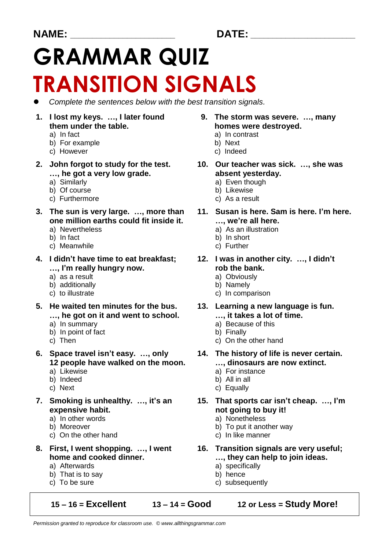# **GRAMMAR QUIZ TRANSITION SIGNALS**

- ⚫ *Complete the sentences below with the best transition signals.*
- **1. I lost my keys. …, I later found 9. The storm was severe. …, many**
	-
	- b) For example b) Next
	- c) However c) Indeed
- **…, he got a very low grade. absent yesterday.**<br> **a**) Similarly **a** a summary **a** a summary
	-
	-
	- c) Furthermore
- **one million earths could fit inside it. …, we're all here.**
	-
	-
	- c) Meanwhile **c**) Further
- **4. I didn't have time to eat breakfast; 12. I was in another city. …, I didn't …, I'm really hungry now. rob the bank.**
	-
	- b) additionally b) Namely
	-
- **5. He waited ten minutes for the bus. 13. Learning a new language is fun. …, he got on it and went to school. …, it takes a lot of time.**
	-
	- b) In point of fact b) Finally<br>c) Then c) On the
	-
- **6. Space travel isn't easy. …, only 14. The history of life is never certain. 12 people have walked on the moon. …, dinosaurs are now extinct.**
	-
	-
	-
- **expensive habit. not going to buy it!**
	- a) In other words a) Nonetheless
	-
	- c) On the other hand c) In like manner
- - a) Afterwards a) specifically
	- b) That is to say b) hence
	-

### **15 – 16 = Excellent 13 – 14 = Good 12 or Less = Study More!**

- **them under the table. homes were destroyed.**
- a) In fact a) In contrast
	-
	-
- **2. John forgot to study for the test. 10. Our teacher was sick. …, she was**
	- a) Even though<br>b) Likewise
	- b) Of course b) Likewise b) Likewise c) Furthermore c) As a result
		-
- **3. The sun is very large. …, more than 11. Susan is here. Sam is here. I'm here.**
	- a) Nevertheless a) As an illustration
	- b) In fact b) In short
		-
		-
	- a) as a result and a series and a contract a contract a contract of a contract a contract a contract a contract a contract a contract a contract a contract a contract a contract a contract a contract a contract a contract
		-
	- c) to illustrate c) In comparison
		-
	- a) In summary a) Because of this
		-
		- c) On the other hand
		-
	- a) Likewise a) For instance
	- b) Indeed b) All in all
	- c) Next c) Equally
- **7. Smoking is unhealthy. …, it's an 15. That sports car isn't cheap. …, I'm**
	-
	- b) Moreover b) To put it another way
		-
- **8. First, I went shopping. …, I went 16. Transition signals are very useful; home and cooked dinner. …, they can help to join ideas.**
	-
	-
	- c) To be sure c) subsequently